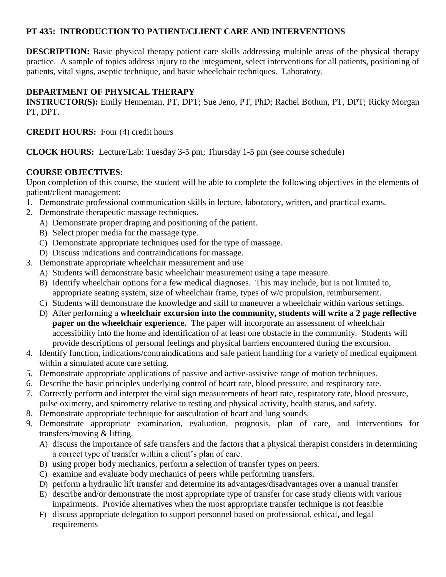# **PT 435: INTRODUCTION TO PATIENT/CLIENT CARE AND INTERVENTIONS**

**DESCRIPTION:** Basic physical therapy patient care skills addressing multiple areas of the physical therapy practice. A sample of topics address injury to the integument, select interventions for all patients, positioning of patients, vital signs, aseptic technique, and basic wheelchair techniques. Laboratory.

# **DEPARTMENT OF PHYSICAL THERAPY**

**INSTRUCTOR(S):** Emily Henneman, PT, DPT; Sue Jeno, PT, PhD; Rachel Bothun, PT, DPT; Ricky Morgan PT, DPT.

**CREDIT HOURS:** Four (4) credit hours

**CLOCK HOURS:** Lecture/Lab: Tuesday 3-5 pm; Thursday 1-5 pm (see course schedule)

# **COURSE OBJECTIVES:**

Upon completion of this course, the student will be able to complete the following objectives in the elements of patient/client management:

- 1. Demonstrate professional communication skills in lecture, laboratory, written, and practical exams.
- 2. Demonstrate therapeutic massage techniques.
	- A) Demonstrate proper draping and positioning of the patient.
	- B) Select proper media for the massage type.
	- C) Demonstrate appropriate techniques used for the type of massage.
	- D) Discuss indications and contraindications for massage.
- 3. Demonstrate appropriate wheelchair measurement and use
	- A) Students will demonstrate basic wheelchair measurement using a tape measure.
		- B) Identify wheelchair options for a few medical diagnoses. This may include, but is not limited to, appropriate seating system, size of wheelchair frame, types of w/c propulsion, reimbursement.
		- C) Students will demonstrate the knowledge and skill to maneuver a wheelchair within various settings.
		- D) After performing a **wheelchair excursion into the community, students will write a 2 page reflective paper on the wheelchair experience.** The paper will incorporate an assessment of wheelchair accessibility into the home and identification of at least one obstacle in the community. Students will provide descriptions of personal feelings and physical barriers encountered during the excursion.
- 4. Identify function, indications/contraindications and safe patient handling for a variety of medical equipment within a simulated acute care setting.
- 5. Demonstrate appropriate applications of passive and active-assistive range of motion techniques.
- 6. Describe the basic principles underlying control of heart rate, blood pressure, and respiratory rate.
- 7. Correctly perform and interpret the vital sign measurements of heart rate, respiratory rate, blood pressure, pulse oximetry, and spirometry relative to resting and physical activity, health status, and safety.
- 8. Demonstrate appropriate technique for auscultation of heart and lung sounds.
- 9. Demonstrate appropriate examination, evaluation, prognosis, plan of care, and interventions for transfers/moving & lifting.
	- A) discuss the importance of safe transfers and the factors that a physical therapist considers in determining a correct type of transfer within a client's plan of care.
	- B) using proper body mechanics, perform a selection of transfer types on peers.
	- C) examine and evaluate body mechanics of peers while performing transfers.
	- D) perform a hydraulic lift transfer and determine its advantages/disadvantages over a manual transfer
	- E) describe and/or demonstrate the most appropriate type of transfer for case study clients with various impairments. Provide alternatives when the most appropriate transfer technique is not feasible
	- F) discuss appropriate delegation to support personnel based on professional, ethical, and legal requirements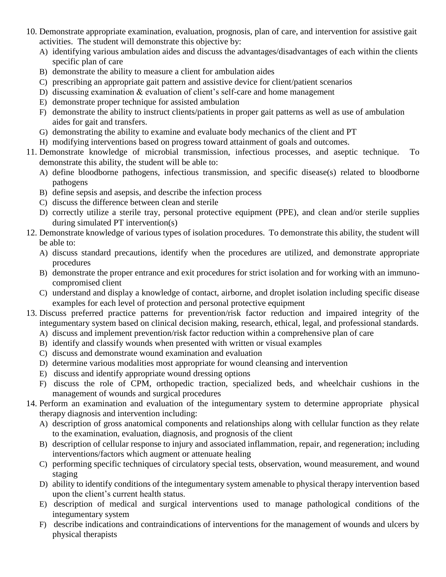- 10. Demonstrate appropriate examination, evaluation, prognosis, plan of care, and intervention for assistive gait activities. The student will demonstrate this objective by:
	- A) identifying various ambulation aides and discuss the advantages/disadvantages of each within the clients specific plan of care
	- B) demonstrate the ability to measure a client for ambulation aides
	- C) prescribing an appropriate gait pattern and assistive device for client/patient scenarios
	- D) discussing examination & evaluation of client's self-care and home management
	- E) demonstrate proper technique for assisted ambulation
	- F) demonstrate the ability to instruct clients/patients in proper gait patterns as well as use of ambulation aides for gait and transfers.
	- G) demonstrating the ability to examine and evaluate body mechanics of the client and PT
	- H) modifying interventions based on progress toward attainment of goals and outcomes.
- 11. Demonstrate knowledge of microbial transmission, infectious processes, and aseptic technique. To demonstrate this ability, the student will be able to:
	- A) define bloodborne pathogens, infectious transmission, and specific disease(s) related to bloodborne pathogens
	- B) define sepsis and asepsis, and describe the infection process
	- C) discuss the difference between clean and sterile
	- D) correctly utilize a sterile tray, personal protective equipment (PPE), and clean and/or sterile supplies during simulated PT intervention(s)
- 12. Demonstrate knowledge of various types of isolation procedures. To demonstrate this ability, the student will be able to:
	- A) discuss standard precautions, identify when the procedures are utilized, and demonstrate appropriate procedures
	- B) demonstrate the proper entrance and exit procedures for strict isolation and for working with an immunocompromised client
	- C) understand and display a knowledge of contact, airborne, and droplet isolation including specific disease examples for each level of protection and personal protective equipment
- 13. Discuss preferred practice patterns for prevention/risk factor reduction and impaired integrity of the integumentary system based on clinical decision making, research, ethical, legal, and professional standards.
	- A) discuss and implement prevention/risk factor reduction within a comprehensive plan of care
	- B) identify and classify wounds when presented with written or visual examples
	- C) discuss and demonstrate wound examination and evaluation
	- D) determine various modalities most appropriate for wound cleansing and intervention
	- E) discuss and identify appropriate wound dressing options
	- F) discuss the role of CPM, orthopedic traction, specialized beds, and wheelchair cushions in the management of wounds and surgical procedures
- 14. Perform an examination and evaluation of the integumentary system to determine appropriate physical therapy diagnosis and intervention including:
	- A) description of gross anatomical components and relationships along with cellular function as they relate to the examination, evaluation, diagnosis, and prognosis of the client
	- B) description of cellular response to injury and associated inflammation, repair, and regeneration; including interventions/factors which augment or attenuate healing
	- C) performing specific techniques of circulatory special tests, observation, wound measurement, and wound staging
	- D) ability to identify conditions of the integumentary system amenable to physical therapy intervention based upon the client's current health status.
	- E) description of medical and surgical interventions used to manage pathological conditions of the integumentary system
	- F) describe indications and contraindications of interventions for the management of wounds and ulcers by physical therapists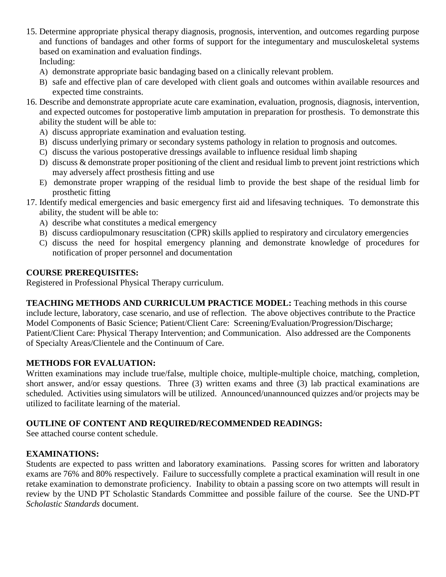- 15. Determine appropriate physical therapy diagnosis, prognosis, intervention, and outcomes regarding purpose and functions of bandages and other forms of support for the integumentary and musculoskeletal systems based on examination and evaluation findings. Including:
	- A) demonstrate appropriate basic bandaging based on a clinically relevant problem.
	- B) safe and effective plan of care developed with client goals and outcomes within available resources and expected time constraints.
- 16. Describe and demonstrate appropriate acute care examination, evaluation, prognosis, diagnosis, intervention, and expected outcomes for postoperative limb amputation in preparation for prosthesis. To demonstrate this ability the student will be able to:
	- A) discuss appropriate examination and evaluation testing.
	- B) discuss underlying primary or secondary systems pathology in relation to prognosis and outcomes.
	- C) discuss the various postoperative dressings available to influence residual limb shaping
	- D) discuss & demonstrate proper positioning of the client and residual limb to prevent joint restrictions which may adversely affect prosthesis fitting and use
	- E) demonstrate proper wrapping of the residual limb to provide the best shape of the residual limb for prosthetic fitting
- 17. Identify medical emergencies and basic emergency first aid and lifesaving techniques. To demonstrate this ability, the student will be able to:
	- A) describe what constitutes a medical emergency
	- B) discuss cardiopulmonary resuscitation (CPR) skills applied to respiratory and circulatory emergencies
	- C) discuss the need for hospital emergency planning and demonstrate knowledge of procedures for notification of proper personnel and documentation

# **COURSE PREREQUISITES:**

Registered in Professional Physical Therapy curriculum.

**TEACHING METHODS AND CURRICULUM PRACTICE MODEL:** Teaching methods in this course include lecture, laboratory, case scenario, and use of reflection. The above objectives contribute to the Practice Model Components of Basic Science; Patient/Client Care: Screening/Evaluation/Progression/Discharge; Patient/Client Care: Physical Therapy Intervention; and Communication. Also addressed are the Components of Specialty Areas/Clientele and the Continuum of Care.

# **METHODS FOR EVALUATION:**

Written examinations may include true/false, multiple choice, multiple-multiple choice, matching, completion, short answer, and/or essay questions. Three (3) written exams and three (3) lab practical examinations are scheduled. Activities using simulators will be utilized. Announced/unannounced quizzes and/or projects may be utilized to facilitate learning of the material.

# **OUTLINE OF CONTENT AND REQUIRED/RECOMMENDED READINGS:**

See attached course content schedule.

# **EXAMINATIONS:**

Students are expected to pass written and laboratory examinations. Passing scores for written and laboratory exams are 76% and 80% respectively. Failure to successfully complete a practical examination will result in one retake examination to demonstrate proficiency. Inability to obtain a passing score on two attempts will result in review by the UND PT Scholastic Standards Committee and possible failure of the course. See the UND-PT *Scholastic Standards* document.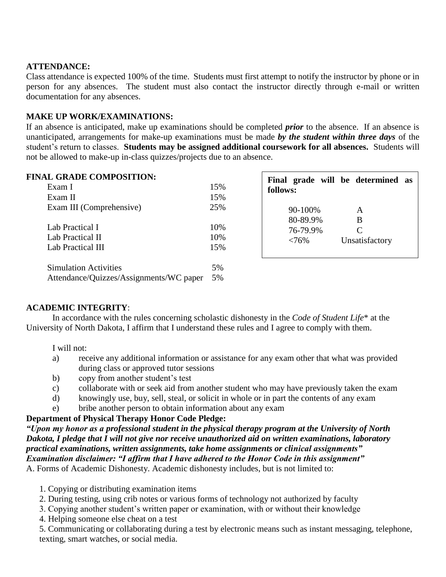#### **ATTENDANCE:**

Class attendance is expected 100% of the time. Students must first attempt to notify the instructor by phone or in person for any absences. The student must also contact the instructor directly through e-mail or written documentation for any absences.

#### **MAKE UP WORK/EXAMINATIONS:**

If an absence is anticipated, make up examinations should be completed *prior* to the absence. If an absence is unanticipated, arrangements for make-up examinations must be made *by the student within three days* of the student's return to classes. **Students may be assigned additional coursework for all absences.** Students will not be allowed to make-up in-class quizzes/projects due to an absence.

# **FINAL GRADE COMPOSITION:**

| (AL GRADE COMPOSITION:                  |     | Final grade will be determined as |  |
|-----------------------------------------|-----|-----------------------------------|--|
| Exam I                                  | 15% | follows:                          |  |
| Exam II                                 | 15% |                                   |  |
| Exam III (Comprehensive)                | 25% | 90-100%<br>A                      |  |
| Lab Practical I                         | 10% | 80-89.9%<br>B<br>76-79.9%         |  |
| Lab Practical II                        | 10% | Unsatisfactory<br>$<76\%$         |  |
| Lab Practical III                       | 15% |                                   |  |
| <b>Simulation Activities</b>            | 5%  |                                   |  |
| Attendance/Quizzes/Assignments/WC paper | 5%  |                                   |  |

г

٦

# **ACADEMIC INTEGRITY**:

In accordance with the rules concerning scholastic dishonesty in the *Code of Student Life*\* at the University of North Dakota, I affirm that I understand these rules and I agree to comply with them.

I will not:

- a) receive any additional information or assistance for any exam other that what was provided during class or approved tutor sessions
- b) copy from another student's test
- c) collaborate with or seek aid from another student who may have previously taken the exam
- d) knowingly use, buy, sell, steal, or solicit in whole or in part the contents of any exam
- e) bribe another person to obtain information about any exam

#### **Department of Physical Therapy Honor Code Pledge:**

*"Upon my honor as a professional student in the physical therapy program at the University of North Dakota, I pledge that I will not give nor receive unauthorized aid on written examinations, laboratory practical examinations, written assignments, take home assignments or clinical assignments" Examination disclaimer: "I affirm that I have adhered to the Honor Code in this assignment"*  A. Forms of Academic Dishonesty. Academic dishonesty includes, but is not limited to:

- 1. Copying or distributing examination items
- 2. During testing, using crib notes or various forms of technology not authorized by faculty
- 3. Copying another student's written paper or examination, with or without their knowledge
- 4. Helping someone else cheat on a test

5. Communicating or collaborating during a test by electronic means such as instant messaging, telephone, texting, smart watches, or social media.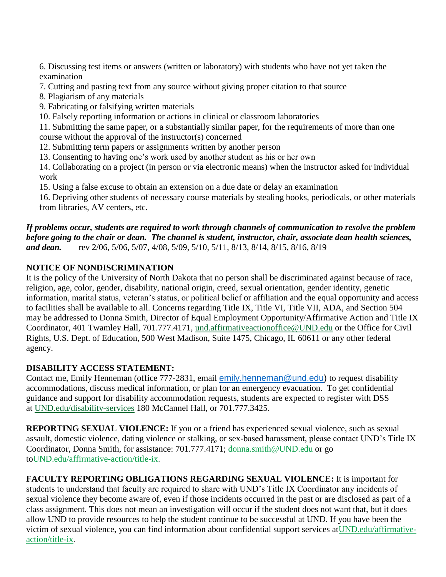6. Discussing test items or answers (written or laboratory) with students who have not yet taken the examination

- 7. Cutting and pasting text from any source without giving proper citation to that source
- 8. Plagiarism of any materials
- 9. Fabricating or falsifying written materials
- 10. Falsely reporting information or actions in clinical or classroom laboratories

11. Submitting the same paper, or a substantially similar paper, for the requirements of more than one course without the approval of the instructor(s) concerned

- 12. Submitting term papers or assignments written by another person
- 13. Consenting to having one's work used by another student as his or her own

14. Collaborating on a project (in person or via electronic means) when the instructor asked for individual work

15. Using a false excuse to obtain an extension on a due date or delay an examination

16. Depriving other students of necessary course materials by stealing books, periodicals, or other materials from libraries, AV centers, etc.

# *If problems occur, students are required to work through channels of communication to resolve the problem before going to the chair or dean. The channel is student, instructor, chair, associate dean health sciences, and dean.* rev 2/06, 5/06, 5/07, 4/08, 5/09, 5/10, 5/11, 8/13, 8/14, 8/15, 8/16, 8/19

# **NOTICE OF NONDISCRIMINATION**

It is the policy of the University of North Dakota that no person shall be discriminated against because of race, religion, age, color, gender, disability, national origin, creed, sexual orientation, gender identity, genetic information, marital status, veteran's status, or political belief or affiliation and the equal opportunity and access to facilities shall be available to all. Concerns regarding Title IX, Title VI, Title VII, ADA, and Section 504 may be addressed to Donna Smith, Director of Equal Employment Opportunity/Affirmative Action and Title IX Coordinator, 401 Twamley Hall, 701.777.4171, [und.affirmativeactionoffice@UND.edu](mailto:und.affirmativeactionoffice@UND.edu) or the Office for Civil Rights, U.S. Dept. of Education, 500 West Madison, Suite 1475, Chicago, IL 60611 or any other federal agency.

# **DISABILITY ACCESS STATEMENT:**

Contact me, Emily Henneman (office 777-2831, email [emily.henneman@und.edu\)](mailto:emily.henneman@und.edu) to request disability accommodations, discuss medical information, or plan for an emergency evacuation. To get confidential guidance and support for disability accommodation requests, students are expected to register with DSS at [UND.edu/disability-services](https://und.edu/student-life/disability-services/index.html) 180 McCannel Hall, or 701.777.3425.

**REPORTING SEXUAL VIOLENCE:** If you or a friend has experienced sexual violence, such as sexual assault, domestic violence, dating violence or stalking, or sex-based harassment, please contact UND's Title IX Coordinator, Donna Smith, for assistance: 701.777.4171; [donna.smith@UND.edu](mailto:donna.smith@UND.edu) or go t[oUND.edu/affirmative-action/title-ix.](http://und.edu/affirmative-action/title-ix/index.cfm)

**FACULTY REPORTING OBLIGATIONS REGARDING SEXUAL VIOLENCE:** It is important for students to understand that faculty are required to share with UND's Title IX Coordinator any incidents of sexual violence they become aware of, even if those incidents occurred in the past or are disclosed as part of a class assignment. This does not mean an investigation will occur if the student does not want that, but it does allow UND to provide resources to help the student continue to be successful at UND. If you have been the victim of sexual violence, you can find information about confidential support services a[tUND.edu/affirmative](http://und.edu/affirmative-action/title-ix/index.cfm)[action/title-ix.](http://und.edu/affirmative-action/title-ix/index.cfm)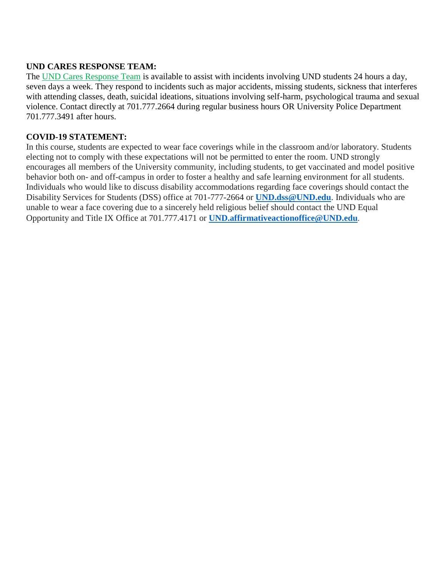# **UND CARES RESPONSE TEAM:**

The [UND Cares Response Team](http://und.edu/student-affairs/student-rights-responsibilities/care-team.cfm) is available to assist with incidents involving UND students 24 hours a day, seven days a week. They respond to incidents such as major accidents, missing students, sickness that interferes with attending classes, death, suicidal ideations, situations involving self-harm, psychological trauma and sexual violence. Contact directly at 701.777.2664 during regular business hours OR University Police Department 701.777.3491 after hours.

# **COVID-19 STATEMENT:**

In this course, students are expected to wear face coverings while in the classroom and/or laboratory. Students electing not to comply with these expectations will not be permitted to enter the room. UND strongly encourages all members of the University community, including students, to get vaccinated and model positive behavior both on- and off-campus in order to foster a healthy and safe learning environment for all students. Individuals who would like to discuss disability accommodations regarding face coverings should contact the Disability Services for Students (DSS) office at 701-777-2664 or **[UND.dss@UND.edu](mailto:UND.dss@UND.edu)**. Individuals who are unable to wear a face covering due to a sincerely held religious belief should contact the UND Equal Opportunity and Title IX Office at 701.777.4171 or **[UND.affirmativeactionoffice@UND.edu](mailto:UND.affirmativeactionoffice@UND.edu)**.